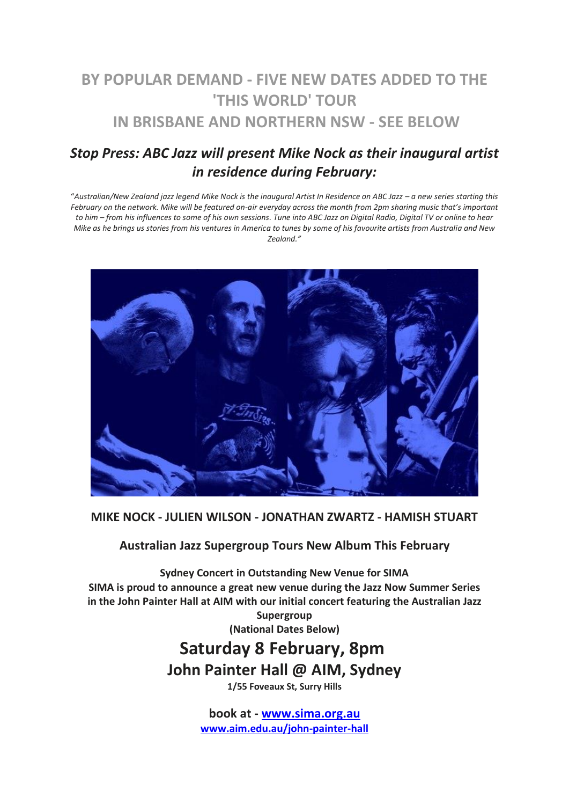## **BY POPULAR DEMAND - FIVE NEW DATES ADDED TO THE 'THIS WORLD' TOUR IN BRISBANE AND NORTHERN NSW - SEE BELOW**

## *Stop Press: ABC Jazz will present Mike Nock as their inaugural artist in residence during February:*

"*Australian/New Zealand jazz legend Mike Nock is the inaugural Artist In Residence on ABC Jazz – a new series starting this February on the network. Mike will be featured on-air everyday across the month from 2pm sharing music that's important to him – from his influences to some of his own sessions. Tune into ABC Jazz on Digital Radio, Digital TV or online to hear Mike as he brings us stories from his ventures in America to tunes by some of his favourite artists from Australia and New Zealand."*



**MIKE NOCK - JULIEN WILSON - JONATHAN ZWARTZ - HAMISH STUART**

**Australian Jazz Supergroup Tours New Album This February**

**Sydney Concert in Outstanding New Venue for SIMA SIMA is proud to announce a great new venue during the Jazz Now Summer Series in the John Painter Hall at AIM with our initial concert featuring the Australian Jazz Supergroup**

**(National Dates Below)**

# **Saturday 8 February, 8pm John Painter Hall @ AIM, Sydney**

**1/55 Foveaux St, Surry Hills**

**book at - [www.sima.org.au](http://www.sima.org.au/) [www.aim.edu.au/john-painter-hall](https://www.aim.edu.au/john-painter-hall)**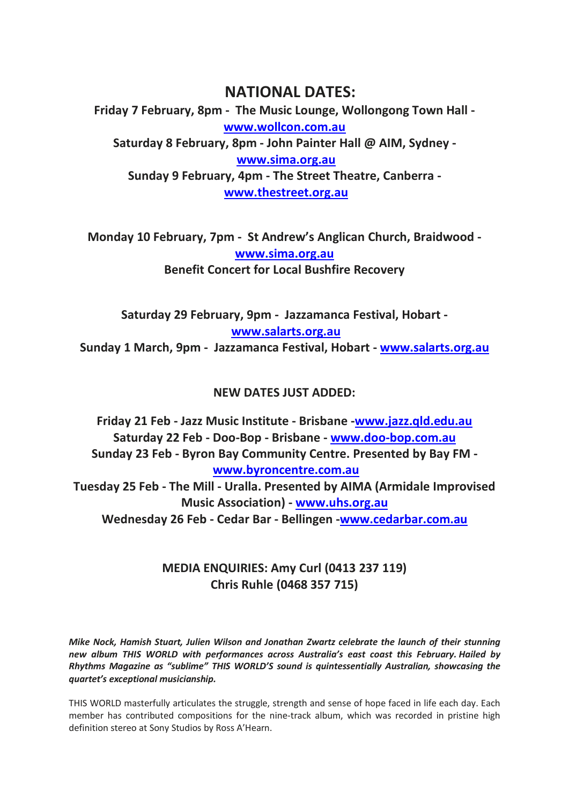## **NATIONAL DATES:**

**Friday 7 February, 8pm - The Music Lounge, Wollongong Town Hall [www.wollcon.com.au](http://www.wollcon.com.au/) Saturday 8 February, 8pm - John Painter Hall @ AIM, Sydney [www.sima.org.au](http://www.sima.org.au/) Sunday 9 February, 4pm - The Street Theatre, Canberra [www.thestreet.org.au](http://www.thestreet.org.au/)**

**Monday 10 February, 7pm - St Andrew's Anglican Church, Braidwood [www.sima.org.au](http://www.sima.org.au/) Benefit Concert for Local Bushfire Recovery**

**Saturday 29 February, 9pm - Jazzamanca Festival, Hobart [www.salarts.org.au](http://www.salarts.org.au/) Sunday 1 March, 9pm - Jazzamanca Festival, Hobart - [www.salarts.org.au](http://www.salarts.org.au/)**

### **NEW DATES JUST ADDED:**

**Friday 21 Feb - Jazz Music Institute - Brisbane [-www.jazz.qld.edu.au](http://www.jazz.qld.edu.au/) Saturday 22 Feb - Doo-Bop - Brisbane - [www.doo-bop.com.au](https://www.doo-bop.com.au/) Sunday 23 Feb - Byron Bay Community Centre. Presented by Bay FM [www.byroncentre.com.au](http://www.byroncentre.com.au/) Tuesday 25 Feb - The Mill - Uralla. Presented by AIMA (Armidale Improvised Music Association) - [www.uhs.org.au](http://www.uhs.org.au/) Wednesday 26 Feb - Cedar Bar - Bellingen [-www.cedarbar.com.au](http://www.cedar.com.au/)**

## **MEDIA ENQUIRIES: Amy Curl (0413 237 119) Chris Ruhle (0468 357 715)**

*Mike Nock, Hamish Stuart, Julien Wilson and Jonathan Zwartz celebrate the launch of their stunning new album THIS WORLD with performances across Australia's east coast this February. Hailed by Rhythms Magazine as "sublime" THIS WORLD'S sound is quintessentially Australian, showcasing the quartet's exceptional musicianship.*

THIS WORLD masterfully articulates the struggle, strength and sense of hope faced in life each day. Each member has contributed compositions for the nine-track album, which was recorded in pristine high definition stereo at Sony Studios by Ross A'Hearn.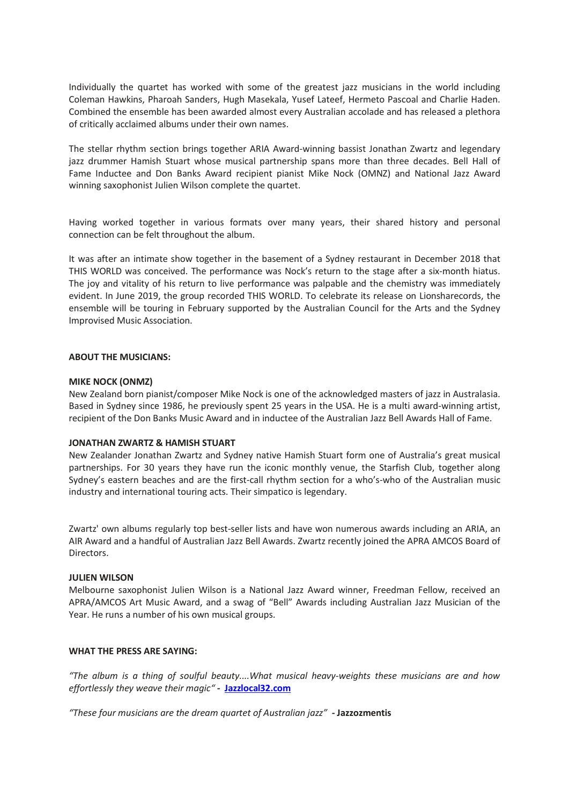Individually the quartet has worked with some of the greatest jazz musicians in the world including Coleman Hawkins, Pharoah Sanders, Hugh Masekala, Yusef Lateef, Hermeto Pascoal and Charlie Haden. Combined the ensemble has been awarded almost every Australian accolade and has released a plethora of critically acclaimed albums under their own names.

The stellar rhythm section brings together ARIA Award-winning bassist Jonathan Zwartz and legendary jazz drummer Hamish Stuart whose musical partnership spans more than three decades. Bell Hall of Fame Inductee and Don Banks Award recipient pianist Mike Nock (OMNZ) and National Jazz Award winning saxophonist Julien Wilson complete the quartet.

Having worked together in various formats over many years, their shared history and personal connection can be felt throughout the album.

It was after an intimate show together in the basement of a Sydney restaurant in December 2018 that THIS WORLD was conceived. The performance was Nock's return to the stage after a six-month hiatus. The joy and vitality of his return to live performance was palpable and the chemistry was immediately evident. In June 2019, the group recorded THIS WORLD. To celebrate its release on Lionsharecords, the ensemble will be touring in February supported by the Australian Council for the Arts and the Sydney Improvised Music Association.

#### **ABOUT THE MUSICIANS:**

#### **MIKE NOCK (ONMZ)**

New Zealand born pianist/composer Mike Nock is one of the acknowledged masters of jazz in Australasia. Based in Sydney since 1986, he previously spent 25 years in the USA. He is a multi award-winning artist, recipient of the Don Banks Music Award and in inductee of the Australian Jazz Bell Awards Hall of Fame.

#### **JONATHAN ZWARTZ & HAMISH STUART**

New Zealander Jonathan Zwartz and Sydney native Hamish Stuart form one of Australia's great musical partnerships. For 30 years they have run the iconic monthly venue, the Starfish Club, together along Sydney's eastern beaches and are the first-call rhythm section for a who's-who of the Australian music industry and international touring acts. Their simpatico is legendary.

Zwartz' own albums regularly top best-seller lists and have won numerous awards including an ARIA, an AIR Award and a handful of Australian Jazz Bell Awards. Zwartz recently joined the APRA AMCOS Board of Directors.

#### **JULIEN WILSON**

Melbourne saxophonist Julien Wilson is a National Jazz Award winner, Freedman Fellow, received an APRA/AMCOS Art Music Award, and a swag of "Bell" Awards including Australian Jazz Musician of the Year. He runs a number of his own musical groups.

#### **WHAT THE PRESS ARE SAYING:**

*"The album is a thing of soulful beauty....What musical heavy-weights these musicians are and how effortlessly they weave their magic" -* **[Jazzlocal32.com](http://jazzlocal32.com/)**

*"These four musicians are the dream quartet of Australian jazz"* **- Jazzozmentis**